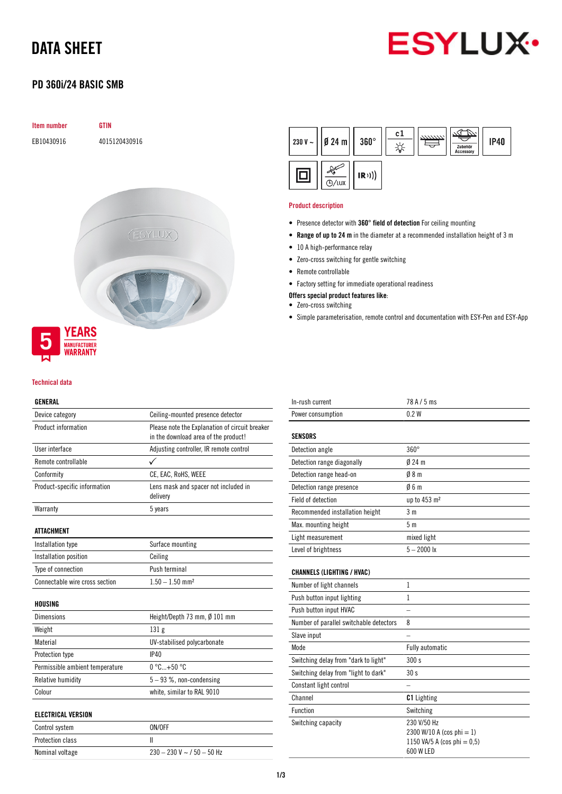# DATA SHEET



## PD 360i/24 BASIC SMB



### Technical data

### GENERAL

| Device category                 | Ceiling-mounted presence detector                                                      |  |  |
|---------------------------------|----------------------------------------------------------------------------------------|--|--|
| Product information             | Please note the Explanation of circuit breaker<br>in the download area of the product! |  |  |
| User interface                  | Adjusting controller, IR remote control                                                |  |  |
| Remote controllable             | ✓                                                                                      |  |  |
| Conformity                      | CE, EAC, RoHS, WEEE                                                                    |  |  |
| Product-specific information    | Lens mask and spacer not included in<br>delivery                                       |  |  |
| Warranty                        | 5 years                                                                                |  |  |
| <b>ATTACHMENT</b>               |                                                                                        |  |  |
| Installation type               | Surface mounting                                                                       |  |  |
| Installation position           | Ceiling                                                                                |  |  |
| Type of connection              | Push terminal                                                                          |  |  |
| Connectable wire cross section  | $1.50 - 1.50$ mm <sup>2</sup>                                                          |  |  |
| HOUSING                         |                                                                                        |  |  |
| <b>Dimensions</b>               | Height/Depth 73 mm, Ø 101 mm                                                           |  |  |
| Weight                          | 131 <sub>g</sub>                                                                       |  |  |
| Material                        | UV-stabilised polycarbonate                                                            |  |  |
| Protection type                 | IP40                                                                                   |  |  |
| Permissible ambient temperature | $0^{\circ}$ C +50 $^{\circ}$ C                                                         |  |  |
| Relative humidity               | $5 - 93$ %, non-condensing                                                             |  |  |
| Colour                          | white, similar to RAL 9010                                                             |  |  |
| <b>ELECTRICAL VERSION</b>       |                                                                                        |  |  |
| Control system                  | ON/OFF                                                                                 |  |  |
| Protection class                | Ш                                                                                      |  |  |
| Nominal voltage                 | $230 - 230$ V ~ / 50 - 50 Hz                                                           |  |  |



### Product description

- Presence detector with 360° field of detection For ceiling mounting
- Range of up to 24 m in the diameter at a recommended installation height of 3 m
- 10 A high-performance relay
- Zero-cross switching for gentle switching
- Remote controllable
- Factory setting for immediate operational readiness
- Offers special product features like:
- Zero-cross switching
- Simple parameterisation, remote control and documentation with ESY-Pen and ESY-App

| In-rush current                         | 78 A / 5 ms                                                                             |
|-----------------------------------------|-----------------------------------------------------------------------------------------|
| Power consumption                       | 0.2W                                                                                    |
| <b>SENSORS</b>                          |                                                                                         |
| Detection angle                         | $360^\circ$                                                                             |
| Detection range diagonally              | $024$ m                                                                                 |
| Detection range head-on                 | 08 <sub>m</sub>                                                                         |
| Detection range presence                | 06m                                                                                     |
| Field of detection                      | up to 453 m <sup>2</sup>                                                                |
| Recommended installation height         | 3 <sub>m</sub>                                                                          |
| Max. mounting height                    | 5 <sub>m</sub>                                                                          |
| Light measurement                       | mixed light                                                                             |
| Level of brightness                     | $5 - 2000$ lx                                                                           |
| <b>CHANNELS (LIGHTING / HVAC)</b>       |                                                                                         |
| Number of light channels                | 1                                                                                       |
| Push button input lighting              | 1                                                                                       |
| Push button input HVAC                  |                                                                                         |
| Number of parallel switchable detectors | 8                                                                                       |
| Slave input                             |                                                                                         |
| Mode                                    | <b>Fully automatic</b>                                                                  |
| Switching delay from "dark to light"    | 300 s                                                                                   |
| Switching delay from "light to dark"    | 30 <sub>s</sub>                                                                         |
| Constant light control                  |                                                                                         |
| Channel                                 | <b>C1</b> Lighting                                                                      |
| <b>Function</b>                         | Switching                                                                               |
| Switching capacity                      | 230 V/50 Hz<br>2300 W/10 A (cos phi = 1)<br>1150 VA/5 A (cos phi = $0,5$ )<br>600 W LED |
|                                         |                                                                                         |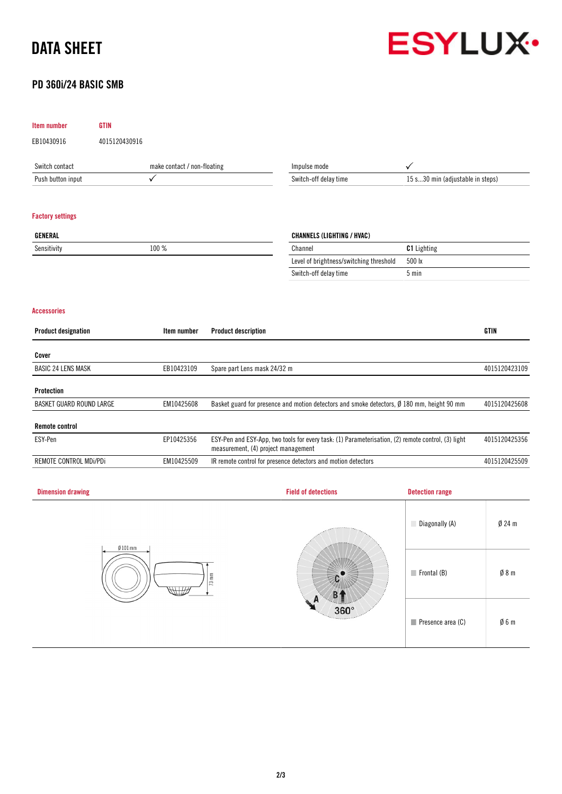# DATA SHEET



## PD 360i/24 BASIC SMB

| Item number                            | <b>GTIN</b>   |                             |                                                                                                                                           |                                                                                            |                        |               |  |
|----------------------------------------|---------------|-----------------------------|-------------------------------------------------------------------------------------------------------------------------------------------|--------------------------------------------------------------------------------------------|------------------------|---------------|--|
| EB10430916                             | 4015120430916 |                             |                                                                                                                                           |                                                                                            |                        |               |  |
| Switch contact                         |               | make contact / non-floating |                                                                                                                                           | Impulse mode                                                                               | $\checkmark$           |               |  |
| Push button input                      | ✓             |                             |                                                                                                                                           | Switch-off delay time<br>15 s30 min (adjustable in steps)                                  |                        |               |  |
|                                        |               |                             |                                                                                                                                           |                                                                                            |                        |               |  |
| <b>Factory settings</b>                |               |                             |                                                                                                                                           |                                                                                            |                        |               |  |
| <b>GENERAL</b>                         |               |                             |                                                                                                                                           | <b>CHANNELS (LIGHTING / HVAC)</b>                                                          |                        |               |  |
| Sensitivity                            |               | $100~\%$                    |                                                                                                                                           | Channel                                                                                    | C1 Lighting            |               |  |
|                                        |               |                             |                                                                                                                                           | Level of brightness/switching threshold                                                    | 500 lx                 |               |  |
|                                        |               |                             |                                                                                                                                           | Switch-off delay time                                                                      | $5 \text{ min}$        |               |  |
|                                        |               |                             |                                                                                                                                           |                                                                                            |                        |               |  |
| <b>Accessories</b>                     |               |                             |                                                                                                                                           |                                                                                            |                        |               |  |
| <b>Product designation</b>             |               | Item number                 | <b>Product description</b>                                                                                                                |                                                                                            |                        | <b>GTIN</b>   |  |
| Cover                                  |               |                             |                                                                                                                                           |                                                                                            |                        |               |  |
| <b>BASIC 24 LENS MASK</b>              |               | EB10423109                  | Spare part Lens mask 24/32 m                                                                                                              |                                                                                            |                        | 4015120423109 |  |
|                                        |               |                             |                                                                                                                                           |                                                                                            |                        |               |  |
| Protection<br>BASKET GUARD ROUND LARGE |               | EM10425608                  |                                                                                                                                           | Basket guard for presence and motion detectors and smoke detectors, Ø 180 mm, height 90 mm |                        | 4015120425608 |  |
|                                        |               |                             |                                                                                                                                           |                                                                                            |                        |               |  |
| <b>Remote control</b>                  |               |                             |                                                                                                                                           |                                                                                            |                        |               |  |
| ESY-Pen                                |               | EP10425356                  | ESY-Pen and ESY-App, two tools for every task: (1) Parameterisation, (2) remote control, (3) light<br>measurement, (4) project management | 4015120425356                                                                              |                        |               |  |
| REMOTE CONTROL MDi/PDi                 |               | EM10425509                  | IR remote control for presence detectors and motion detectors                                                                             |                                                                                            |                        | 4015120425509 |  |
|                                        |               |                             |                                                                                                                                           |                                                                                            |                        |               |  |
| <b>Dimension drawing</b>               |               |                             |                                                                                                                                           | <b>Field of detections</b>                                                                 | <b>Detection range</b> |               |  |
|                                        |               |                             |                                                                                                                                           |                                                                                            | Diagonally (A)         | $Ø$ 24 m      |  |
| $Ø101$ mm<br>WIZ                       |               | $73 \text{ mm}$             |                                                                                                                                           | $\blacksquare$ Frontal (B)                                                                 | $\emptyset$ 8 m        |               |  |
|                                        |               |                             | A<br>360°                                                                                                                                 | Presence area (C)                                                                          | $\emptyset$ 6 m        |               |  |
|                                        |               |                             |                                                                                                                                           |                                                                                            |                        |               |  |